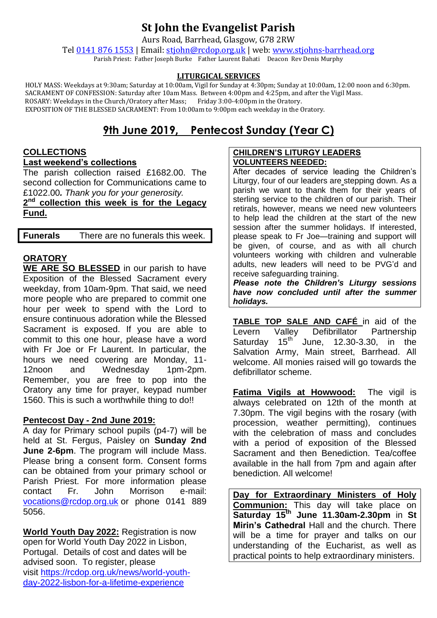# **St John the Evangelist Parish**

Aurs Road, Barrhead, Glasgow, G78 2RW

Tel [0141 876 1553](tel:+441418761553) | Email[: stjohn@rcdop.org.uk](mailto:stjohn@rcdop.org.uk) | web: [www.stjohns-barrhead.org](http://www.stjohns-barrhead.org/) Parish Priest: Father Joseph Burke Father Laurent Bahati Deacon Rev Denis Murphy

#### **LITURGICAL SERVICES**

 HOLY MASS: Weekdays at 9:30am; Saturday at 10:00am, Vigil for Sunday at 4:30pm; Sunday at 10:00am, 12:00 noon and 6:30pm. SACRAMENT OF CONFESSION: Saturday after 10am Mass. Between 4:00pm and 4:25pm, and after the Vigil Mass.<br>ROSARY: Weekdays in the Church/Oratory after Mass; Friday 3:00-4:00pm in the Oratory. ROSARY: Weekdays in the Church/Oratory after Mass; EXPOSITION OF THE BLESSED SACRAMENT: From 10:00am to 9:00pm each weekday in the Oratory.

# **9th June 2019, Pentecost Sunday (Year C)**

#### **COLLECTIONS Last weekend's collections**

The parish collection raised £1682.00. The second collection for Communications came to £1022.00*. Thank you for your generosity.* 

## **2 nd collection this week is for the Legacy Fund.**

**Funerals** There are no funerals this week.

## **ORATORY**

**WE ARE SO BLESSED** in our parish to have Exposition of the Blessed Sacrament every weekday, from 10am-9pm. That said, we need more people who are prepared to commit one hour per week to spend with the Lord to ensure continuous adoration while the Blessed Sacrament is exposed. If you are able to commit to this one hour, please have a word with Fr Joe or Fr Laurent. In particular, the hours we need covering are Monday, 11- 12noon and Wednesday 1pm-2pm. Remember, you are free to pop into the Oratory any time for prayer, keypad number 1560. This is such a worthwhile thing to do!!

### **Pentecost Day - 2nd June 2019:**

A day for Primary school pupils (p4-7) will be held at St. Fergus, Paisley on **Sunday 2nd June 2-6pm**. The program will include Mass. Please bring a consent form. Consent forms can be obtained from your primary school or Parish Priest. For more information please contact Fr. John Morrison e-mail: [vocations@rcdop.org.uk](mailto:vocations@rcdop.org.uk) or phone 0141 889 5056.

**World Youth Day 2022:** Registration is now open for World Youth Day 2022 in Lisbon, Portugal. Details of cost and dates will be advised soon. To register, please visit [https://rcdop.org.uk/news/world-youth](https://rcdop.org.uk/news/world-youth-day-2022-lisbon-for-a-lifetime-experience)[day-2022-lisbon-for-a-lifetime-experience](https://rcdop.org.uk/news/world-youth-day-2022-lisbon-for-a-lifetime-experience)

#### **CHILDREN'S LITURGY LEADERS VOLUNTEERS NEEDED:**

After decades of service leading the Children's Liturgy, four of our leaders are stepping down. As a parish we want to thank them for their years of sterling service to the children of our parish. Their retirals, however, means we need new volunteers to help lead the children at the start of the new session after the summer holidays. If interested, please speak to Fr Joe—training and support will be given, of course, and as with all church volunteers working with children and vulnerable adults, new leaders will need to be PVG'd and receive safeguarding training.

*Please note the Children's Liturgy sessions have now concluded until after the summer holidays.*

**TABLE TOP SALE AND CAFÉ** in aid of the Levern Valley Defibrillator Partnership<br>Saturday 15<sup>th</sup> June, 12.30-3.30, in the June, 12.30-3.30, in the Salvation Army, Main street, Barrhead. All welcome. All monies raised will go towards the defibrillator scheme.

**Fatima Vigils at Howwood:** The vigil is always celebrated on 12th of the month at 7.30pm. The vigil begins with the rosary (with procession, weather permitting), continues with the celebration of mass and concludes with a period of exposition of the Blessed Sacrament and then Benediction. Tea/coffee available in the hall from 7pm and again after benediction. All welcome!

**Day for Extraordinary Ministers of Holy Communion:** This day will take place on **Saturday 15th June 11.30am-2.30pm** in **St Mirin's Cathedral** Hall and the church. There will be a time for prayer and talks on our understanding of the Eucharist, as well as practical points to help extraordinary ministers.